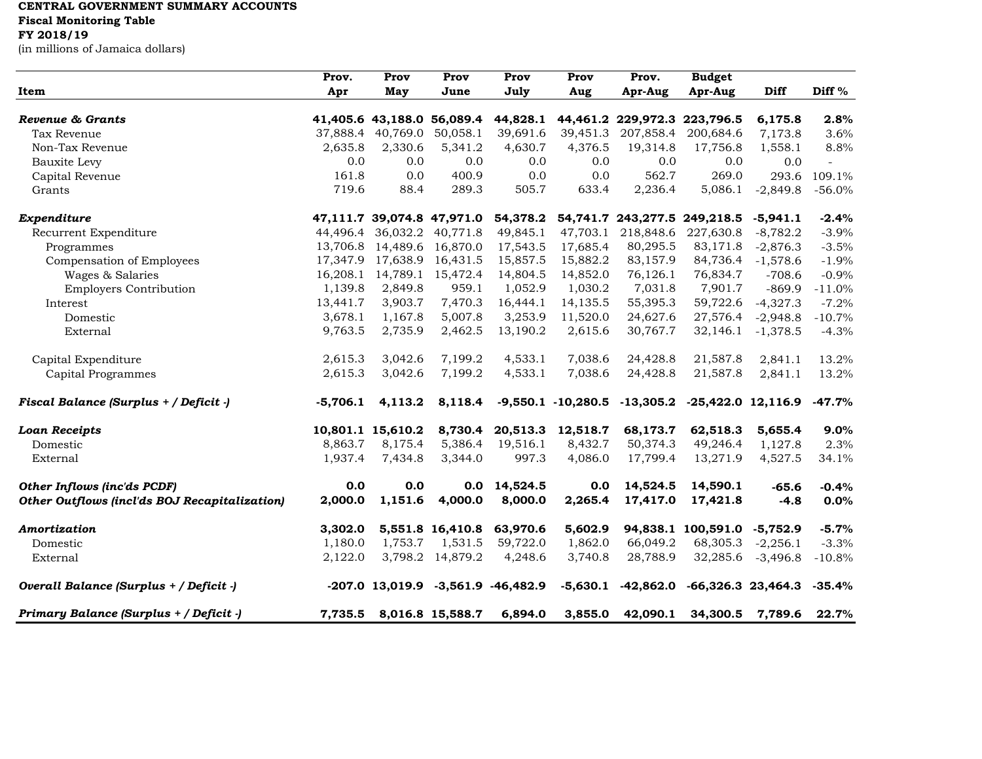## **CENTRAL GOVERNMENT SUMMARY ACCOUNTS**

**Fiscal Monitoring Table**

## **FY 2018/19**

(in millions of Jamaica dollars)

| Item                                          | Prov.      | Prov              | Prov                          | Prov                                     | Prov     | Prov.     | <b>Budget</b>                                             |                   |                   |
|-----------------------------------------------|------------|-------------------|-------------------------------|------------------------------------------|----------|-----------|-----------------------------------------------------------|-------------------|-------------------|
|                                               | Apr        | May               | June                          | July                                     | Aug      | Apr-Aug   | Apr-Aug                                                   | Diff              | Diff <sup>%</sup> |
| Revenue & Grants                              |            |                   | 41,405.6 43,188.0 56,089.4    |                                          |          |           | 44,828.1 44,461.2 229,972.3 223,796.5                     | 6,175.8           | 2.8%              |
| Tax Revenue                                   |            | 37,888.4 40,769.0 | 50,058.1                      | 39,691.6                                 | 39,451.3 | 207,858.4 | 200,684.6                                                 | 7,173.8           | 3.6%              |
| Non-Tax Revenue                               | 2,635.8    | 2,330.6           | 5,341.2                       | 4,630.7                                  | 4,376.5  | 19,314.8  | 17,756.8                                                  | 1,558.1           | 8.8%              |
| Bauxite Levy                                  | 0.0        | 0.0               | 0.0                           | 0.0                                      | 0.0      | 0.0       | 0.0                                                       | 0.0               | $\sim$            |
| Capital Revenue                               | 161.8      | 0.0               | 400.9                         | 0.0                                      | 0.0      | 562.7     | 269.0                                                     | 293.6             | 109.1%            |
| Grants                                        | 719.6      | 88.4              | 289.3                         | 505.7                                    | 633.4    | 2,236.4   | 5,086.1                                                   | $-2,849.8$        | $-56.0%$          |
| Expenditure                                   |            |                   | 47,111.7 39,074.8 47,971.0    | 54,378.2                                 |          |           | 54,741.7 243,277.5 249,218.5                              | $-5,941.1$        | $-2.4%$           |
| Recurrent Expenditure                         |            |                   | 44,496.4 36,032.2 40,771.8    | 49,845.1                                 | 47,703.1 | 218,848.6 | 227,630.8                                                 | $-8,782.2$        | $-3.9%$           |
| Programmes                                    |            |                   | 13,706.8 14,489.6 16,870.0    | 17,543.5                                 | 17,685.4 | 80,295.5  | 83,171.8                                                  | $-2,876.3$        | $-3.5%$           |
| Compensation of Employees                     |            |                   | 17,347.9 17,638.9 16,431.5    | 15,857.5                                 | 15,882.2 | 83,157.9  | 84,736.4                                                  | $-1,578.6$        | $-1.9%$           |
| Wages & Salaries                              |            |                   | 16, 208.1 14, 789.1 15, 472.4 | 14,804.5                                 | 14,852.0 | 76,126.1  | 76,834.7                                                  | $-708.6$          | $-0.9%$           |
| <b>Employers Contribution</b>                 | 1,139.8    | 2,849.8           | 959.1                         | 1,052.9                                  | 1,030.2  | 7,031.8   | 7,901.7                                                   | $-869.9$          | $-11.0%$          |
| Interest                                      | 13,441.7   | 3,903.7           | 7,470.3                       | 16,444.1                                 | 14,135.5 | 55,395.3  | 59,722.6                                                  | $-4,327.3$        | $-7.2%$           |
| Domestic                                      | 3,678.1    | 1,167.8           | 5,007.8                       | 3,253.9                                  | 11,520.0 | 24,627.6  | 27,576.4                                                  | $-2,948.8$        | $-10.7%$          |
| External                                      | 9,763.5    | 2,735.9           | 2,462.5                       | 13,190.2                                 | 2,615.6  | 30,767.7  | 32,146.1                                                  | $-1,378.5$        | $-4.3%$           |
| Capital Expenditure                           | 2,615.3    | 3,042.6           | 7,199.2                       | 4,533.1                                  | 7,038.6  | 24,428.8  | 21,587.8                                                  | 2,841.1           | 13.2%             |
| <b>Capital Programmes</b>                     | 2,615.3    | 3,042.6           | 7,199.2                       | 4,533.1                                  | 7,038.6  | 24,428.8  | 21,587.8                                                  | 2,841.1           | 13.2%             |
| Fiscal Balance (Surplus + / Deficit -)        | $-5,706.1$ | 4,113.2           | 8,118.4                       |                                          |          |           | $-9,550.1$ $-10,280.5$ $-13,305.2$ $-25,422.0$ $12,116.9$ |                   | $-47.7\%$         |
| <b>Loan Receipts</b>                          |            | 10,801.1 15,610.2 |                               | 8,730.4 20,513.3                         | 12,518.7 | 68,173.7  | 62,518.3                                                  | 5,655.4           | 9.0%              |
| Domestic                                      | 8,863.7    | 8,175.4           | 5,386.4                       | 19,516.1                                 | 8,432.7  | 50,374.3  | 49,246.4                                                  | 1,127.8           | 2.3%              |
| External                                      | 1,937.4    | 7,434.8           | 3,344.0                       | 997.3                                    | 4,086.0  | 17,799.4  | 13,271.9                                                  | 4,527.5           | 34.1%             |
| Other Inflows (inc'ds PCDF)                   | 0.0        | 0.0               |                               | $0.0$ 14,524.5                           | 0.0      | 14,524.5  | 14,590.1                                                  | $-65.6$           | $-0.4%$           |
| Other Outflows (incl'ds BOJ Recapitalization) | 2,000.0    | 1,151.6           | 4,000.0                       | 8,000.0                                  | 2,265.4  | 17,417.0  | 17,421.8                                                  | $-4.8$            | 0.0%              |
| Amortization                                  | 3,302.0    |                   | 5,551.8 16,410.8              | 63,970.6                                 | 5,602.9  |           | 94,838.1 100,591.0 -5,752.9                               |                   | $-5.7%$           |
| Domestic                                      | 1,180.0    | 1,753.7           | 1,531.5                       | 59,722.0                                 | 1,862.0  | 66,049.2  | 68,305.3                                                  | $-2,256.1$        | $-3.3%$           |
| External                                      | 2,122.0    |                   | 3,798.2 14,879.2              | 4,248.6                                  | 3,740.8  | 28,788.9  |                                                           | 32,285.6 -3,496.8 | $-10.8%$          |
| Overall Balance (Surplus + / Deficit -)       |            |                   |                               | $-207.0$ 13,019.9 $-3,561.9$ $-46,482.9$ |          |           | $-5,630.1$ $-42,862.0$ $-66,326.3$ $23,464.3$             |                   | $-35.4%$          |
| Primary Balance (Surplus + / Deficit -)       | 7,735.5    |                   | 8,016.8 15,588.7              | 6,894.0                                  | 3,855.0  | 42,090.1  | 34,300.5                                                  | 7,789.6           | 22.7%             |